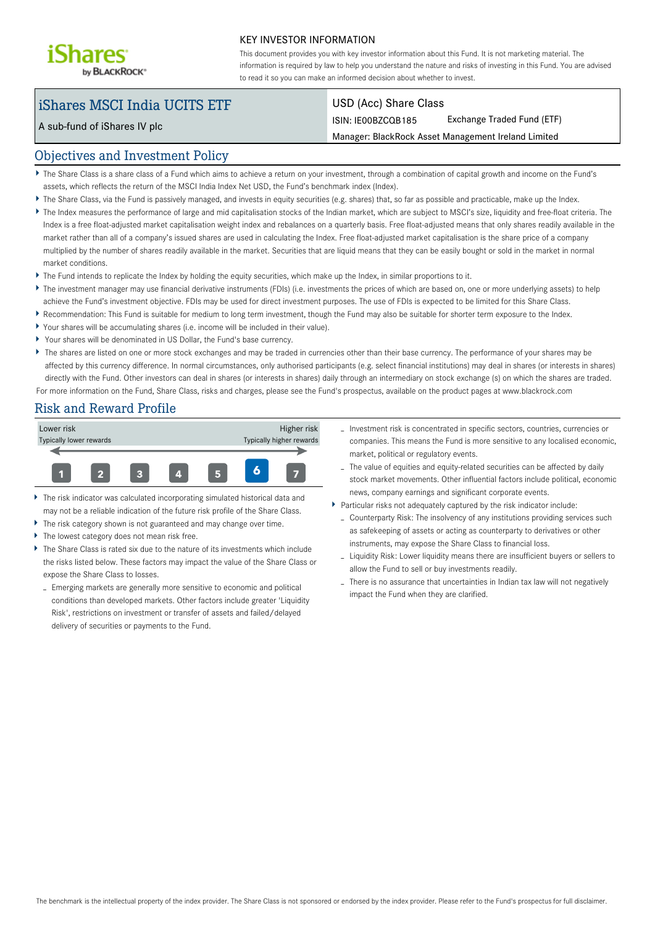

#### KEY INVESTOR INFORMATION

This document provides you with key investor information about this Fund. It is not marketing material. The information is required by law to help you understand the nature and risks of investing in this Fund. You are advised to read it so you can make an informed decision about whether to invest.

# iShares MSCI India UCITS ETF

A sub-fund of iShares IV plc

### USD (Acc) Share Class

ISIN: IE00BZCQB185 Exchange Traded Fund (ETF)

Manager: BlackRock Asset Management Ireland Limited

## Objectives and Investment Policy

- The Share Class is a share class of a Fund which aims to achieve a return on your investment, through a combination of capital growth and income on the Fund's assets, which reflects the return of the MSCI India Index Net USD, the Fund's benchmark index (Index).
- The Share Class, via the Fund is passively managed, and invests in equity securities (e.g. shares) that, so far as possible and practicable, make up the Index.
- The Index measures the performance of large and mid capitalisation stocks of the Indian market, which are subject to MSCI's size, liquidity and free-float criteria. The Index is a free float-adjusted market capitalisation weight index and rebalances on a quarterly basis. Free float-adjusted means that only shares readily available in the market rather than all of a company's issued shares are used in calculating the Index. Free float-adjusted market capitalisation is the share price of a company multiplied by the number of shares readily available in the market. Securities that are liquid means that they can be easily bought or sold in the market in normal market conditions.
- The Fund intends to replicate the Index by holding the equity securities, which make up the Index, in similar proportions to it.
- ▶ The investment manager may use financial derivative instruments (FDIs) (i.e. investments the prices of which are based on, one or more underlying assets) to help achieve the Fund's investment objective. FDIs may be used for direct investment purposes. The use of FDIs is expected to be limited for this Share Class.
- Recommendation: This Fund is suitable for medium to long term investment, though the Fund may also be suitable for shorter term exposure to the Index.
- Your shares will be accumulating shares (i.e. income will be included in their value).
- Your shares will be denominated in US Dollar, the Fund's base currency.
- The shares are listed on one or more stock exchanges and may be traded in currencies other than their base currency. The performance of your shares may be affected by this currency difference. In normal circumstances, only authorised participants (e.g. select financial institutions) may deal in shares (or interests in shares) directly with the Fund. Other investors can deal in shares (or interests in shares) daily through an intermediary on stock exchange (s) on which the shares are traded. For more information on the Fund, Share Class, risks and charges, please see the Fund's prospectus, available on the product pages at www.blackrock.com

# Risk and Reward Profile



- The risk indicator was calculated incorporating simulated historical data and may not be a reliable indication of the future risk profile of the Share Class.
- The risk category shown is not guaranteed and may change over time.
- The lowest category does not mean risk free.
- The Share Class is rated six due to the nature of its investments which include the risks listed below. These factors may impact the value of the Share Class or expose the Share Class to losses.
- Emerging markets are generally more sensitive to economic and political conditions than developed markets. Other factors include greater 'Liquidity Risk', restrictions on investment or transfer of assets and failed/delayed delivery of securities or payments to the Fund.
- Investment risk is concentrated in specific sectors, countries, currencies or companies. This means the Fund is more sensitive to any localised economic, market, political or regulatory events.
- The value of equities and equity-related securities can be affected by daily stock market movements. Other influential factors include political, economic news, company earnings and significant corporate events.
- Particular risks not adequately captured by the risk indicator include:
	- Counterparty Risk: The insolvency of any institutions providing services such as safekeeping of assets or acting as counterparty to derivatives or other instruments, may expose the Share Class to financial loss.
	- Liquidity Risk: Lower liquidity means there are insufficient buyers or sellers to allow the Fund to sell or buy investments readily.
	- There is no assurance that uncertainties in Indian tax law will not negatively impact the Fund when they are clarified.